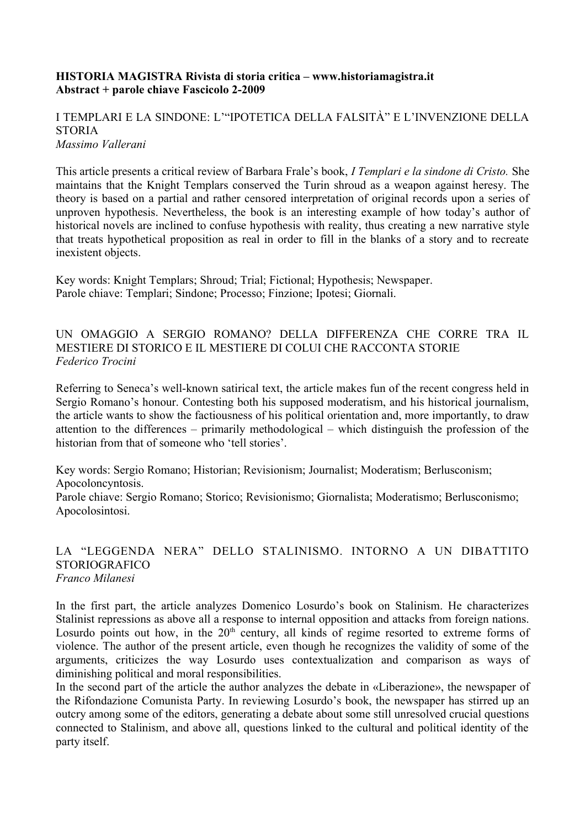#### **HISTORIA MAGISTRA Rivista di storia critica – www.historiamagistra.it Abstract + parole chiave Fascicolo 2-2009**

# I TEMPLARI E LA SINDONE: L'"IPOTETICA DELLA FALSITÀ" E L'INVENZIONE DELLA **STORIA**

*Massimo Vallerani*

This article presents a critical review of Barbara Frale's book, *I Templari e la sindone di Cristo.* She maintains that the Knight Templars conserved the Turin shroud as a weapon against heresy. The theory is based on a partial and rather censored interpretation of original records upon a series of unproven hypothesis. Nevertheless, the book is an interesting example of how today's author of historical novels are inclined to confuse hypothesis with reality, thus creating a new narrative style that treats hypothetical proposition as real in order to fill in the blanks of a story and to recreate inexistent objects.

Key words: Knight Templars; Shroud; Trial; Fictional; Hypothesis; Newspaper. Parole chiave: Templari; Sindone; Processo; Finzione; Ipotesi; Giornali.

UN OMAGGIO A SERGIO ROMANO? DELLA DIFFERENZA CHE CORRE TRA IL MESTIERE DI STORICO E IL MESTIERE DI COLUI CHE RACCONTA STORIE *Federico Trocini*

Referring to Seneca's well-known satirical text, the article makes fun of the recent congress held in Sergio Romano's honour. Contesting both his supposed moderatism, and his historical journalism, the article wants to show the factiousness of his political orientation and, more importantly, to draw attention to the differences – primarily methodological – which distinguish the profession of the historian from that of someone who 'tell stories'.

Key words: Sergio Romano; Historian; Revisionism; Journalist; Moderatism; Berlusconism; Apocoloncyntosis.

Parole chiave: Sergio Romano; Storico; Revisionismo; Giornalista; Moderatismo; Berlusconismo; Apocolosintosi.

#### LA "LEGGENDA NERA" DELLO STALINISMO. INTORNO A UN DIBATTITO STORIOGRAFICO *Franco Milanesi*

In the first part, the article analyzes Domenico Losurdo's book on Stalinism. He characterizes Stalinist repressions as above all a response to internal opposition and attacks from foreign nations. Losurdo points out how, in the  $20<sup>th</sup>$  century, all kinds of regime resorted to extreme forms of violence. The author of the present article, even though he recognizes the validity of some of the arguments, criticizes the way Losurdo uses contextualization and comparison as ways of diminishing political and moral responsibilities.

In the second part of the article the author analyzes the debate in «Liberazione», the newspaper of the Rifondazione Comunista Party. In reviewing Losurdo's book, the newspaper has stirred up an outcry among some of the editors, generating a debate about some still unresolved crucial questions connected to Stalinism, and above all, questions linked to the cultural and political identity of the party itself.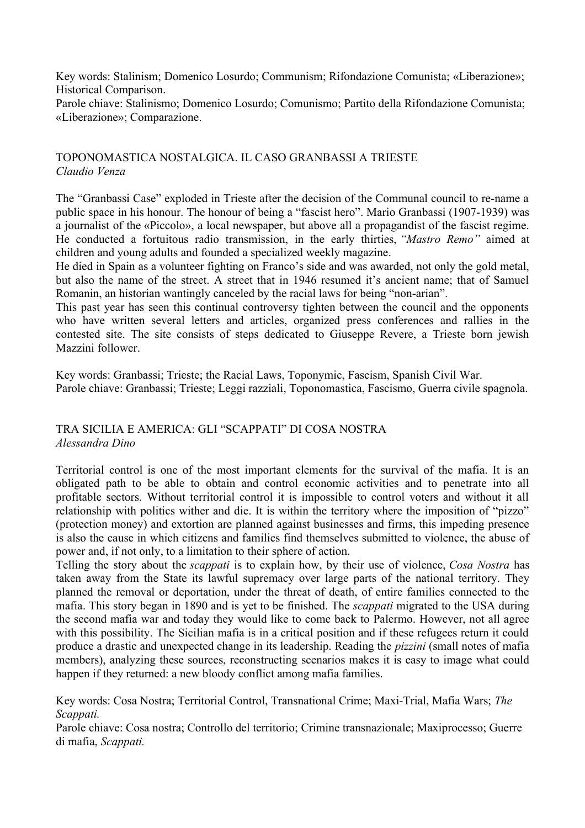Key words: Stalinism; Domenico Losurdo; Communism; Rifondazione Comunista; «Liberazione»; Historical Comparison.

Parole chiave: Stalinismo; Domenico Losurdo; Comunismo; Partito della Rifondazione Comunista; «Liberazione»; Comparazione.

# TOPONOMASTICA NOSTALGICA. IL CASO GRANBASSI A TRIESTE *Claudio Venza*

The "Granbassi Case" exploded in Trieste after the decision of the Communal council to re-name a public space in his honour. The honour of being a "fascist hero". Mario Granbassi (1907-1939) was a journalist of the «Piccolo», a local newspaper, but above all a propagandist of the fascist regime. He conducted a fortuitous radio transmission, in the early thirties, *"Mastro Remo"* aimed at children and young adults and founded a specialized weekly magazine.

He died in Spain as a volunteer fighting on Franco's side and was awarded, not only the gold metal, but also the name of the street. A street that in 1946 resumed it's ancient name; that of Samuel Romanin, an historian wantingly canceled by the racial laws for being "non-arian".

This past year has seen this continual controversy tighten between the council and the opponents who have written several letters and articles, organized press conferences and rallies in the contested site. The site consists of steps dedicated to Giuseppe Revere, a Trieste born jewish Mazzini follower.

Key words: Granbassi; Trieste; the Racial Laws, Toponymic, Fascism, Spanish Civil War. Parole chiave: Granbassi; Trieste; Leggi razziali, Toponomastica, Fascismo, Guerra civile spagnola.

# TRA SICILIA E AMERICA: GLI "SCAPPATI" DI COSA NOSTRA *Alessandra Dino*

Territorial control is one of the most important elements for the survival of the mafia. It is an obligated path to be able to obtain and control economic activities and to penetrate into all profitable sectors. Without territorial control it is impossible to control voters and without it all relationship with politics wither and die. It is within the territory where the imposition of "pizzo" (protection money) and extortion are planned against businesses and firms, this impeding presence is also the cause in which citizens and families find themselves submitted to violence, the abuse of power and, if not only, to a limitation to their sphere of action.

Telling the story about the *scappati* is to explain how, by their use of violence, *Cosa Nostra* has taken away from the State its lawful supremacy over large parts of the national territory. They planned the removal or deportation, under the threat of death, of entire families connected to the mafia. This story began in 1890 and is yet to be finished. The *scappati* migrated to the USA during the second mafia war and today they would like to come back to Palermo. However, not all agree with this possibility. The Sicilian mafia is in a critical position and if these refugees return it could produce a drastic and unexpected change in its leadership. Reading the *pizzini* (small notes of mafia members), analyzing these sources, reconstructing scenarios makes it is easy to image what could happen if they returned: a new bloody conflict among mafia families.

Key words: Cosa Nostra; Territorial Control, Transnational Crime; Maxi-Trial, Mafia Wars; *The Scappati.*

Parole chiave: Cosa nostra; Controllo del territorio; Crimine transnazionale; Maxiprocesso; Guerre di mafia, *Scappati.*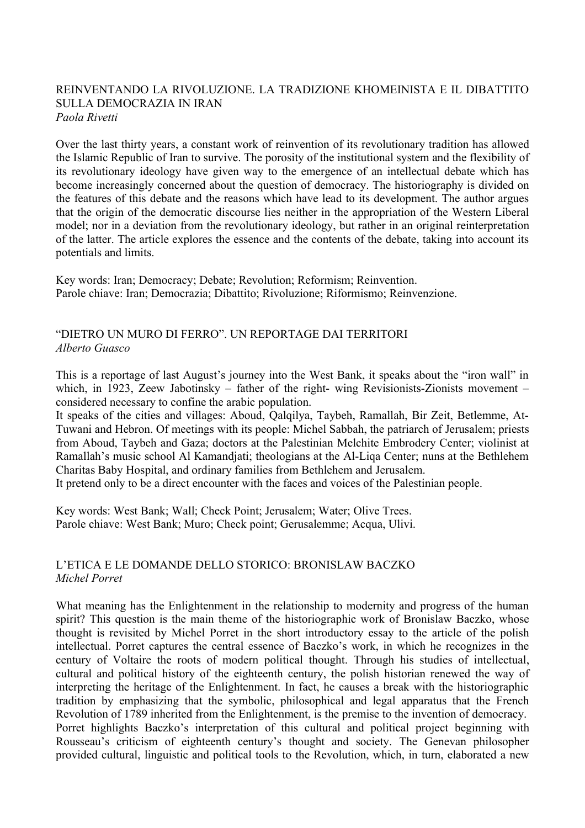#### REINVENTANDO LA RIVOLUZIONE. LA TRADIZIONE KHOMEINISTA E IL DIBATTITO SULLA DEMOCRAZIA IN IRAN *Paola Rivetti*

Over the last thirty years, a constant work of reinvention of its revolutionary tradition has allowed the Islamic Republic of Iran to survive. The porosity of the institutional system and the flexibility of its revolutionary ideology have given way to the emergence of an intellectual debate which has become increasingly concerned about the question of democracy. The historiography is divided on the features of this debate and the reasons which have lead to its development. The author argues that the origin of the democratic discourse lies neither in the appropriation of the Western Liberal model; nor in a deviation from the revolutionary ideology, but rather in an original reinterpretation of the latter. The article explores the essence and the contents of the debate, taking into account its potentials and limits.

Key words: Iran; Democracy; Debate; Revolution; Reformism; Reinvention. Parole chiave: Iran; Democrazia; Dibattito; Rivoluzione; Riformismo; Reinvenzione.

## "DIETRO UN MURO DI FERRO". UN REPORTAGE DAI TERRITORI *Alberto Guasco*

This is a reportage of last August's journey into the West Bank, it speaks about the "iron wall" in which, in 1923, Zeew Jabotinsky – father of the right- wing Revisionists-Zionists movement – considered necessary to confine the arabic population.

It speaks of the cities and villages: Aboud, Qalqilya, Taybeh, Ramallah, Bir Zeit, Betlemme, At-Tuwani and Hebron. Of meetings with its people: Michel Sabbah, the patriarch of Jerusalem; priests from Aboud, Taybeh and Gaza; doctors at the Palestinian Melchite Embrodery Center; violinist at Ramallah's music school Al Kamandjati; theologians at the Al-Liqa Center; nuns at the Bethlehem Charitas Baby Hospital, and ordinary families from Bethlehem and Jerusalem.

It pretend only to be a direct encounter with the faces and voices of the Palestinian people.

Key words: West Bank; Wall; Check Point; Jerusalem; Water; Olive Trees. Parole chiave: West Bank; Muro; Check point; Gerusalemme; Acqua, Ulivi.

#### L'ETICA E LE DOMANDE DELLO STORICO: BRONISLAW BACZKO *Michel Porret*

What meaning has the Enlightenment in the relationship to modernity and progress of the human spirit? This question is the main theme of the historiographic work of Bronislaw Baczko, whose thought is revisited by Michel Porret in the short introductory essay to the article of the polish intellectual. Porret captures the central essence of Baczko's work, in which he recognizes in the century of Voltaire the roots of modern political thought. Through his studies of intellectual, cultural and political history of the eighteenth century, the polish historian renewed the way of interpreting the heritage of the Enlightenment. In fact, he causes a break with the historiographic tradition by emphasizing that the symbolic, philosophical and legal apparatus that the French Revolution of 1789 inherited from the Enlightenment, is the premise to the invention of democracy. Porret highlights Baczko's interpretation of this cultural and political project beginning with Rousseau's criticism of eighteenth century's thought and society. The Genevan philosopher provided cultural, linguistic and political tools to the Revolution, which, in turn, elaborated a new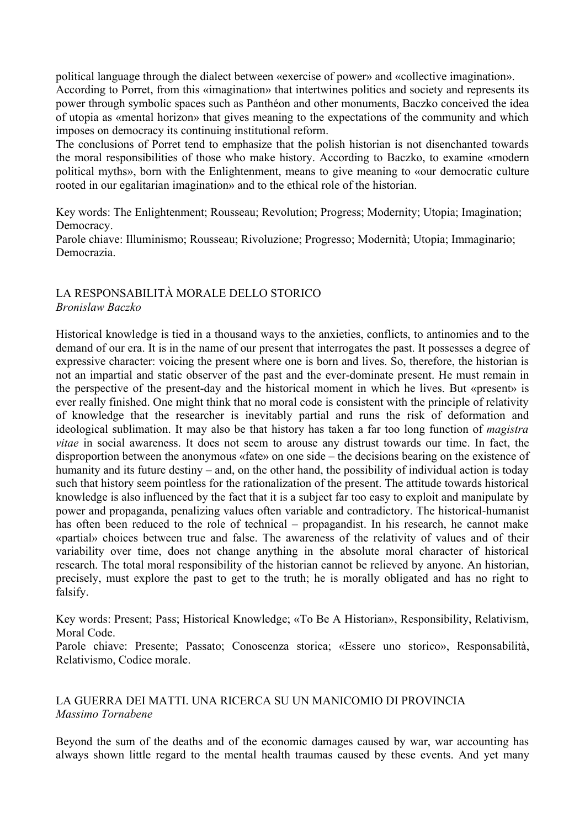political language through the dialect between «exercise of power» and «collective imagination». According to Porret, from this «imagination» that intertwines politics and society and represents its power through symbolic spaces such as Panthéon and other monuments, Baczko conceived the idea of utopia as «mental horizon» that gives meaning to the expectations of the community and which imposes on democracy its continuing institutional reform.

The conclusions of Porret tend to emphasize that the polish historian is not disenchanted towards the moral responsibilities of those who make history. According to Baczko, to examine «modern political myths», born with the Enlightenment, means to give meaning to «our democratic culture rooted in our egalitarian imagination» and to the ethical role of the historian.

Key words: The Enlightenment; Rousseau; Revolution; Progress; Modernity; Utopia; Imagination; Democracy.

Parole chiave: Illuminismo; Rousseau; Rivoluzione; Progresso; Modernità; Utopia; Immaginario; Democrazia.

## LA RESPONSABILITÀ MORALE DELLO STORICO *Bronislaw Baczko*

Historical knowledge is tied in a thousand ways to the anxieties, conflicts, to antinomies and to the demand of our era. It is in the name of our present that interrogates the past. It possesses a degree of expressive character: voicing the present where one is born and lives. So, therefore, the historian is not an impartial and static observer of the past and the ever-dominate present. He must remain in the perspective of the present-day and the historical moment in which he lives. But «present» is ever really finished. One might think that no moral code is consistent with the principle of relativity of knowledge that the researcher is inevitably partial and runs the risk of deformation and ideological sublimation. It may also be that history has taken a far too long function of *magistra vitae* in social awareness. It does not seem to arouse any distrust towards our time. In fact, the disproportion between the anonymous «fate» on one side – the decisions bearing on the existence of humanity and its future destiny – and, on the other hand, the possibility of individual action is today such that history seem pointless for the rationalization of the present. The attitude towards historical knowledge is also influenced by the fact that it is a subject far too easy to exploit and manipulate by power and propaganda, penalizing values often variable and contradictory. The historical-humanist has often been reduced to the role of technical – propagandist. In his research, he cannot make «partial» choices between true and false. The awareness of the relativity of values and of their variability over time, does not change anything in the absolute moral character of historical research. The total moral responsibility of the historian cannot be relieved by anyone. An historian, precisely, must explore the past to get to the truth; he is morally obligated and has no right to falsify.

Key words: Present; Pass; Historical Knowledge; «To Be A Historian», Responsibility, Relativism, Moral Code.

Parole chiave: Presente; Passato; Conoscenza storica; «Essere uno storico», Responsabilità, Relativismo, Codice morale.

#### LA GUERRA DEI MATTI. UNA RICERCA SU UN MANICOMIO DI PROVINCIA *Massimo Tornabene*

Beyond the sum of the deaths and of the economic damages caused by war, war accounting has always shown little regard to the mental health traumas caused by these events. And yet many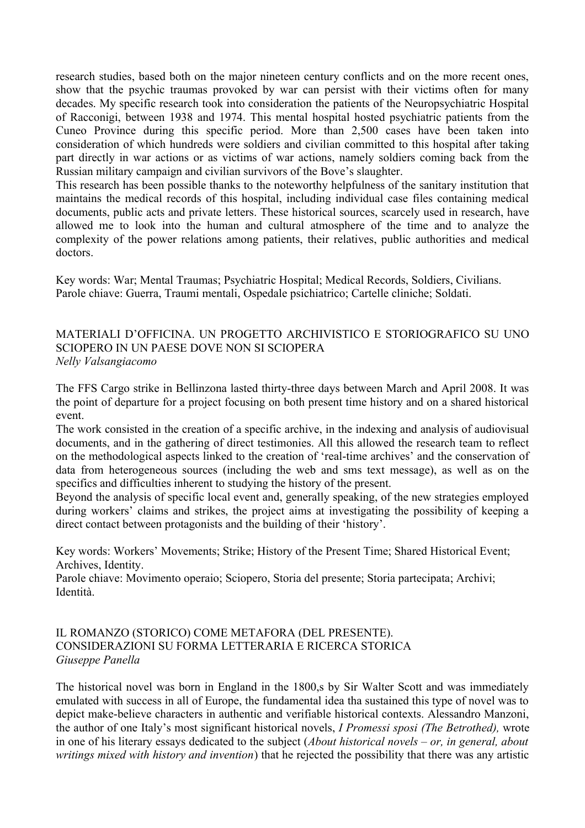research studies, based both on the major nineteen century conflicts and on the more recent ones, show that the psychic traumas provoked by war can persist with their victims often for many decades. My specific research took into consideration the patients of the Neuropsychiatric Hospital of Racconigi, between 1938 and 1974. This mental hospital hosted psychiatric patients from the Cuneo Province during this specific period. More than 2,500 cases have been taken into consideration of which hundreds were soldiers and civilian committed to this hospital after taking part directly in war actions or as victims of war actions, namely soldiers coming back from the Russian military campaign and civilian survivors of the Bove's slaughter.

This research has been possible thanks to the noteworthy helpfulness of the sanitary institution that maintains the medical records of this hospital, including individual case files containing medical documents, public acts and private letters. These historical sources, scarcely used in research, have allowed me to look into the human and cultural atmosphere of the time and to analyze the complexity of the power relations among patients, their relatives, public authorities and medical doctors.

Key words: War; Mental Traumas; Psychiatric Hospital; Medical Records, Soldiers, Civilians. Parole chiave: Guerra, Traumi mentali, Ospedale psichiatrico; Cartelle cliniche; Soldati.

## MATERIALI D'OFFICINA. UN PROGETTO ARCHIVISTICO E STORIOGRAFICO SU UNO SCIOPERO IN UN PAESE DOVE NON SI SCIOPERA *Nelly Valsangiacomo*

The FFS Cargo strike in Bellinzona lasted thirty-three days between March and April 2008. It was the point of departure for a project focusing on both present time history and on a shared historical event.

The work consisted in the creation of a specific archive, in the indexing and analysis of audiovisual documents, and in the gathering of direct testimonies. All this allowed the research team to reflect on the methodological aspects linked to the creation of 'real-time archives' and the conservation of data from heterogeneous sources (including the web and sms text message), as well as on the specifics and difficulties inherent to studying the history of the present.

Beyond the analysis of specific local event and, generally speaking, of the new strategies employed during workers' claims and strikes, the project aims at investigating the possibility of keeping a direct contact between protagonists and the building of their 'history'.

Key words: Workers' Movements; Strike; History of the Present Time; Shared Historical Event; Archives, Identity.

Parole chiave: Movimento operaio; Sciopero, Storia del presente; Storia partecipata; Archivi; Identità.

## IL ROMANZO (STORICO) COME METAFORA (DEL PRESENTE). CONSIDERAZIONI SU FORMA LETTERARIA E RICERCA STORICA *Giuseppe Panella*

The historical novel was born in England in the 1800,s by Sir Walter Scott and was immediately emulated with success in all of Europe, the fundamental idea tha sustained this type of novel was to depict make-believe characters in authentic and verifiable historical contexts. Alessandro Manzoni, the author of one Italy's most significant historical novels, *I Promessi sposi (The Betrothed),* wrote in one of his literary essays dedicated to the subject (*About historical novels – or, in general, about writings mixed with history and invention*) that he rejected the possibility that there was any artistic